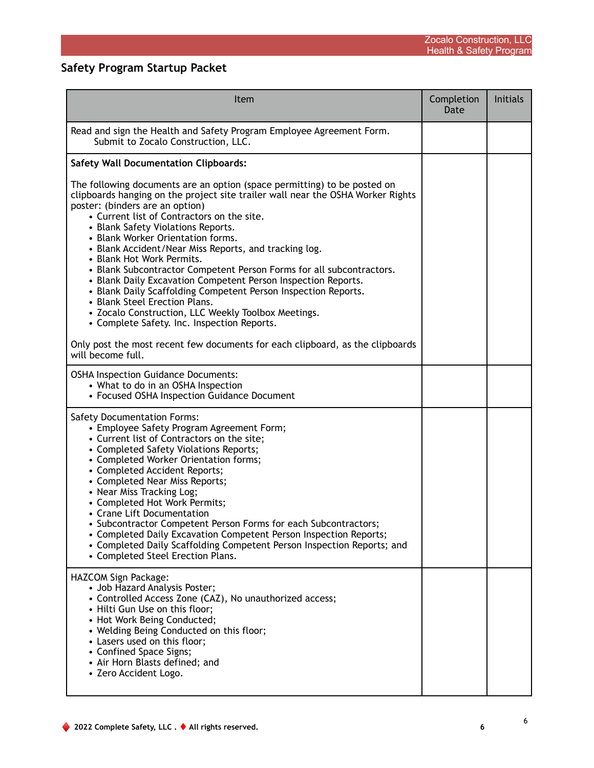## **Safety Program Startup Packet**

| Item                                                                                                                                                                                                                                                                                                                                                                                                                                                                                                                                                                                                                                                                                                                                                                                                                                                                  | Completion<br>Date | <b>Initials</b> |
|-----------------------------------------------------------------------------------------------------------------------------------------------------------------------------------------------------------------------------------------------------------------------------------------------------------------------------------------------------------------------------------------------------------------------------------------------------------------------------------------------------------------------------------------------------------------------------------------------------------------------------------------------------------------------------------------------------------------------------------------------------------------------------------------------------------------------------------------------------------------------|--------------------|-----------------|
| Read and sign the Health and Safety Program Employee Agreement Form.<br>Submit to Zocalo Construction, LLC.                                                                                                                                                                                                                                                                                                                                                                                                                                                                                                                                                                                                                                                                                                                                                           |                    |                 |
| <b>Safety Wall Documentation Clipboards:</b>                                                                                                                                                                                                                                                                                                                                                                                                                                                                                                                                                                                                                                                                                                                                                                                                                          |                    |                 |
| The following documents are an option (space permitting) to be posted on<br>clipboards hanging on the project site trailer wall near the OSHA Worker Rights<br>poster: (binders are an option)<br>• Current list of Contractors on the site.<br>• Blank Safety Violations Reports.<br>• Blank Worker Orientation forms.<br>• Blank Accident/Near Miss Reports, and tracking log.<br>• Blank Hot Work Permits.<br>• Blank Subcontractor Competent Person Forms for all subcontractors.<br>• Blank Daily Excavation Competent Person Inspection Reports.<br>• Blank Daily Scaffolding Competent Person Inspection Reports.<br>• Blank Steel Erection Plans.<br>• Zocalo Construction, LLC Weekly Toolbox Meetings.<br>• Complete Safety. Inc. Inspection Reports.<br>Only post the most recent few documents for each clipboard, as the clipboards<br>will become full. |                    |                 |
| <b>OSHA Inspection Guidance Documents:</b><br>• What to do in an OSHA Inspection<br>• Focused OSHA Inspection Guidance Document                                                                                                                                                                                                                                                                                                                                                                                                                                                                                                                                                                                                                                                                                                                                       |                    |                 |
| <b>Safety Documentation Forms:</b><br>• Employee Safety Program Agreement Form;<br>• Current list of Contractors on the site;<br>• Completed Safety Violations Reports;<br>• Completed Worker Orientation forms;<br>• Completed Accident Reports;<br>• Completed Near Miss Reports;<br>• Near Miss Tracking Log;<br>• Completed Hot Work Permits;<br>• Crane Lift Documentation<br>• Subcontractor Competent Person Forms for each Subcontractors:<br>• Completed Daily Excavation Competent Person Inspection Reports;<br>• Completed Daily Scaffolding Competent Person Inspection Reports; and<br>• Completed Steel Erection Plans.                                                                                                                                                                                                                                |                    |                 |
| HAZCOM Sign Package:<br>• Job Hazard Analysis Poster;<br>• Controlled Access Zone (CAZ), No unauthorized access;<br>• Hilti Gun Use on this floor;<br>• Hot Work Being Conducted;<br>• Welding Being Conducted on this floor;<br>• Lasers used on this floor;<br>• Confined Space Signs;<br>• Air Horn Blasts defined; and<br>• Zero Accident Logo.                                                                                                                                                                                                                                                                                                                                                                                                                                                                                                                   |                    |                 |